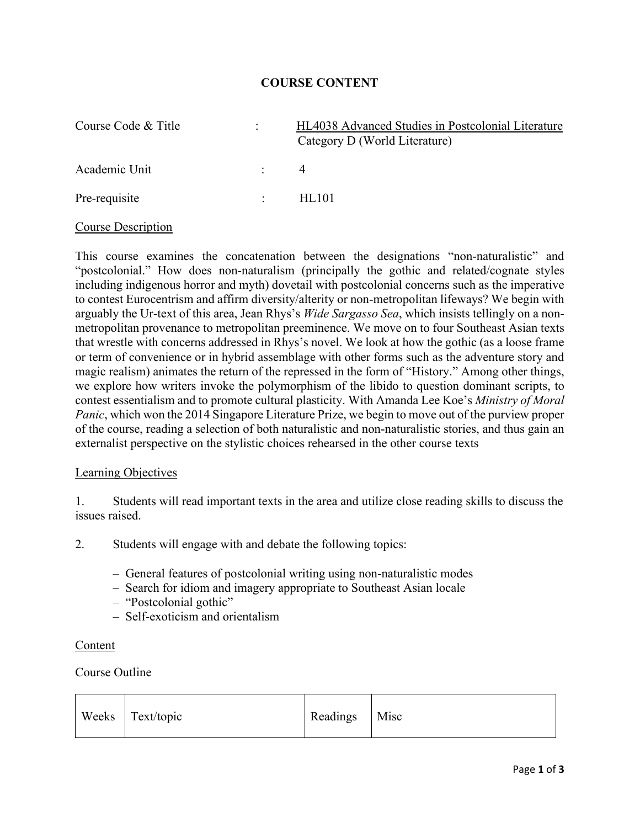## **COURSE CONTENT**

| Course Code & Title | $\mathbb{R}^{\mathbb{Z}}$ | HL4038 Advanced Studies in Postcolonial Literature<br>Category D (World Literature) |
|---------------------|---------------------------|-------------------------------------------------------------------------------------|
| Academic Unit       | $\mathcal{L}$             | 4                                                                                   |
| Pre-requisite       | $\mathbb{R}^n$            | HL101                                                                               |

### Course Description

This course examines the concatenation between the designations "non-naturalistic" and "postcolonial." How does non-naturalism (principally the gothic and related/cognate styles including indigenous horror and myth) dovetail with postcolonial concerns such as the imperative to contest Eurocentrism and affirm diversity/alterity or non-metropolitan lifeways? We begin with arguably the Ur-text of this area, Jean Rhys's *Wide Sargasso Sea*, which insists tellingly on a nonmetropolitan provenance to metropolitan preeminence. We move on to four Southeast Asian texts that wrestle with concerns addressed in Rhys's novel. We look at how the gothic (as a loose frame or term of convenience or in hybrid assemblage with other forms such as the adventure story and magic realism) animates the return of the repressed in the form of "History." Among other things, we explore how writers invoke the polymorphism of the libido to question dominant scripts, to contest essentialism and to promote cultural plasticity. With Amanda Lee Koe's *Ministry of Moral Panic*, which won the 2014 Singapore Literature Prize, we begin to move out of the purview proper of the course, reading a selection of both naturalistic and non-naturalistic stories, and thus gain an externalist perspective on the stylistic choices rehearsed in the other course texts

#### Learning Objectives

1. Students will read important texts in the area and utilize close reading skills to discuss the issues raised.

2. Students will engage with and debate the following topics:

- General features of postcolonial writing using non-naturalistic modes
- Search for idiom and imagery appropriate to Southeast Asian locale
- "Postcolonial gothic"
- Self-exoticism and orientalism

#### Content

## Course Outline

| Readings Misc<br>Weeks Text/topic |  |  |  |  |
|-----------------------------------|--|--|--|--|
|-----------------------------------|--|--|--|--|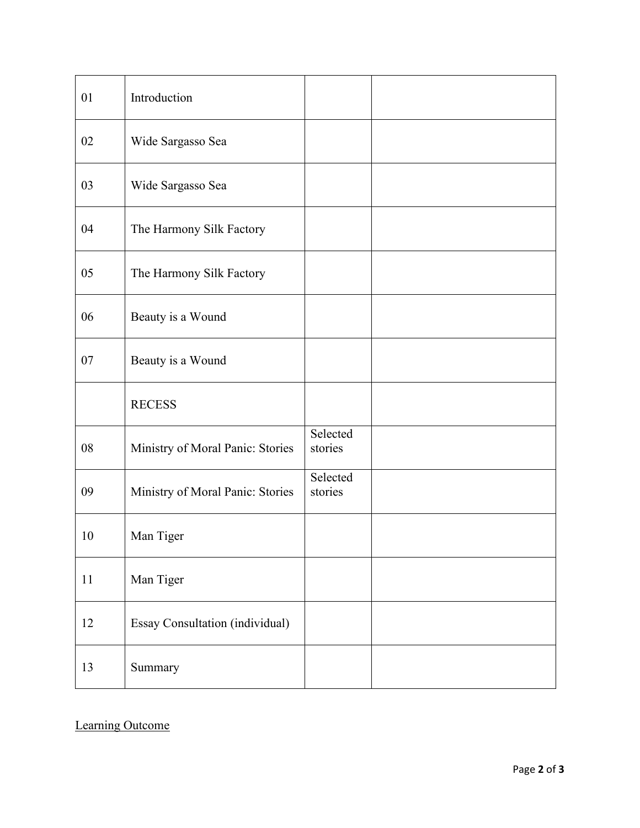| 01 | Introduction                           |                     |  |
|----|----------------------------------------|---------------------|--|
| 02 | Wide Sargasso Sea                      |                     |  |
| 03 | Wide Sargasso Sea                      |                     |  |
| 04 | The Harmony Silk Factory               |                     |  |
| 05 | The Harmony Silk Factory               |                     |  |
| 06 | Beauty is a Wound                      |                     |  |
| 07 | Beauty is a Wound                      |                     |  |
|    | <b>RECESS</b>                          |                     |  |
| 08 | Ministry of Moral Panic: Stories       | Selected<br>stories |  |
| 09 | Ministry of Moral Panic: Stories       | Selected<br>stories |  |
| 10 | Man Tiger                              |                     |  |
| 11 | Man Tiger                              |                     |  |
| 12 | <b>Essay Consultation (individual)</b> |                     |  |
| 13 | Summary                                |                     |  |

Learning Outcome